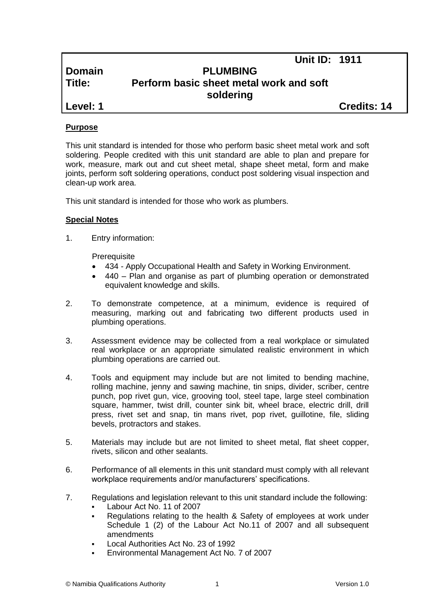|            | UIIILID. IYII                           |                    |
|------------|-----------------------------------------|--------------------|
| Domain     | <b>PLUMBING</b>                         |                    |
| l Title:   | Perform basic sheet metal work and soft |                    |
|            | soldering                               |                    |
| l Level: 1 |                                         | <b>Credits: 14</b> |

**Unit ID: 1911**

## **Purpose**

This unit standard is intended for those who perform basic sheet metal work and soft soldering. People credited with this unit standard are able to plan and prepare for work, measure, mark out and cut sheet metal, shape sheet metal, form and make joints, perform soft soldering operations, conduct post soldering visual inspection and clean-up work area.

This unit standard is intended for those who work as plumbers.

## **Special Notes**

1. Entry information:

**Prerequisite** 

- 434 *-* Apply Occupational Health and Safety in Working Environment.
- 440 Plan and organise as part of plumbing operation or demonstrated equivalent knowledge and skills.
- 2. To demonstrate competence, at a minimum, evidence is required of measuring, marking out and fabricating two different products used in plumbing operations.
- 3. Assessment evidence may be collected from a real workplace or simulated real workplace or an appropriate simulated realistic environment in which plumbing operations are carried out.
- 4. Tools and equipment may include but are not limited to bending machine, rolling machine, jenny and sawing machine, tin snips, divider, scriber, centre punch, pop rivet gun, vice, grooving tool, steel tape, large steel combination square, hammer, twist drill, counter sink bit, wheel brace, electric drill, drill press, rivet set and snap, tin mans rivet, pop rivet, guillotine, file, sliding bevels, protractors and stakes.
- 5. Materials may include but are not limited to sheet metal, flat sheet copper, rivets, silicon and other sealants.
- 6. Performance of all elements in this unit standard must comply with all relevant workplace requirements and/or manufacturers' specifications.
- 7. Regulations and legislation relevant to this unit standard include the following:
	- Labour Act No. 11 of 2007
	- Regulations relating to the health & Safety of employees at work under Schedule 1 (2) of the Labour Act No.11 of 2007 and all subsequent amendments
	- Local Authorities Act No. 23 of 1992
	- Environmental Management Act No. 7 of 2007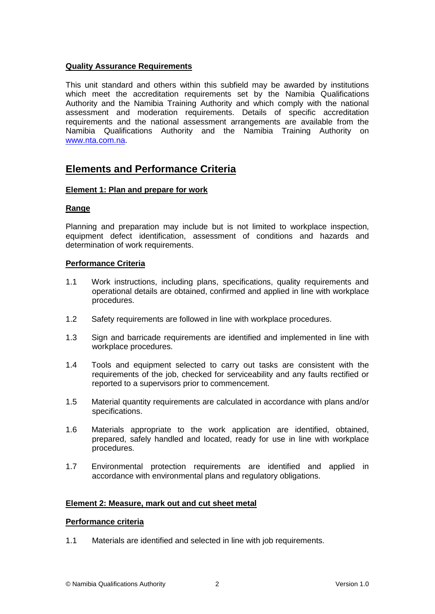## **Quality Assurance Requirements**

This unit standard and others within this subfield may be awarded by institutions which meet the accreditation requirements set by the Namibia Qualifications Authority and the Namibia Training Authority and which comply with the national assessment and moderation requirements. Details of specific accreditation requirements and the national assessment arrangements are available from the Namibia Qualifications Authority and the Namibia Training Authority on [www.nta.com.na.](http://www.nta.com.na/)

# **Elements and Performance Criteria**

## **Element 1: Plan and prepare for work**

## **Range**

Planning and preparation may include but is not limited to workplace inspection, equipment defect identification, assessment of conditions and hazards and determination of work requirements.

## **Performance Criteria**

- 1.1 Work instructions, including plans, specifications, quality requirements and operational details are obtained, confirmed and applied in line with workplace procedures.
- 1.2 Safety requirements are followed in line with workplace procedures.
- 1.3 Sign and barricade requirements are identified and implemented in line with workplace procedures.
- 1.4 Tools and equipment selected to carry out tasks are consistent with the requirements of the job, checked for serviceability and any faults rectified or reported to a supervisors prior to commencement.
- 1.5 Material quantity requirements are calculated in accordance with plans and/or specifications.
- 1.6 Materials appropriate to the work application are identified, obtained, prepared, safely handled and located, ready for use in line with workplace procedures.
- 1.7 Environmental protection requirements are identified and applied in accordance with environmental plans and regulatory obligations.

## **Element 2: Measure, mark out and cut sheet metal**

## **Performance criteria**

1.1 Materials are identified and selected in line with job requirements.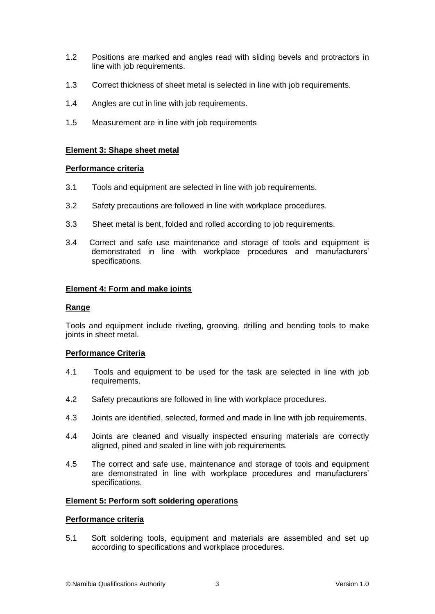- 1.2 Positions are marked and angles read with sliding bevels and protractors in line with job requirements.
- 1.3 Correct thickness of sheet metal is selected in line with job requirements.
- 1.4 Angles are cut in line with job requirements.
- 1.5 Measurement are in line with job requirements

## **Element 3: Shape sheet metal**

## **Performance criteria**

- 3.1 Tools and equipment are selected in line with job requirements.
- 3.2 Safety precautions are followed in line with workplace procedures.
- 3.3 Sheet metal is bent, folded and rolled according to job requirements.
- 3.4 Correct and safe use maintenance and storage of tools and equipment is demonstrated in line with workplace procedures and manufacturers' specifications.

## **Element 4: Form and make joints**

## **Range**

Tools and equipment include riveting, grooving, drilling and bending tools to make joints in sheet metal.

## **Performance Criteria**

- 4.1 Tools and equipment to be used for the task are selected in line with job requirements.
- 4.2 Safety precautions are followed in line with workplace procedures.
- 4.3 Joints are identified, selected, formed and made in line with job requirements.
- 4.4 Joints are cleaned and visually inspected ensuring materials are correctly aligned, pined and sealed in line with job requirements.
- 4.5 The correct and safe use, maintenance and storage of tools and equipment are demonstrated in line with workplace procedures and manufacturers' specifications.

## **Element 5: Perform soft soldering operations**

## **Performance criteria**

5.1 Soft soldering tools, equipment and materials are assembled and set up according to specifications and workplace procedures.